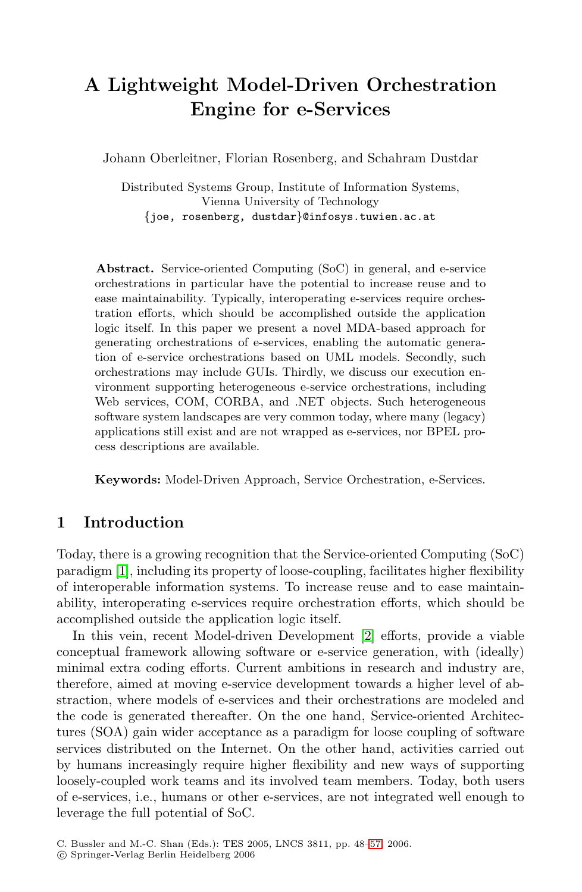# **A Lightweight Model-Driven Orchestration Engine for e-Services**

Johann Oberleitner, Florian Rosenberg, and Schahram Dustdar

Distributed Systems Group, Institute of Information Systems, Vienna University of Technology {joe, rosenberg, dustdar}@infosys.tuwien.ac.at

**Abstract.** Service-oriented Computing (SoC) in general, and e-service orchestrations in particular have the potential to increase reuse and to ease maintainability. Typically, interoperating e-services require orchestration efforts, which should be accomplished outside the application logic itself. In this paper we present a novel MDA-based approach for generating orchestrations of e-services, enabling the automatic generation of e-service orchestrations based on UML models. Secondly, such orchestrations may include GUIs. Thirdly, we discuss our execution environment supporting heterogeneous e-service orchestrations, including Web services, COM, CORBA, and .NET objects. Such heterogeneous software system landscapes are very common today, where many (legacy) applications still exist and are not wrapped as e-services, nor BPEL process descriptions are available.

**Keywords:** Model-Driven Approach, Service Orchestration, e-Services.

## **1 Introduction**

Today, there is a growing recognition that the Service-oriented Computing (SoC) paradigm [1], including its property of loose-coupling, facilitates higher flexibility of interoperable information systems. To increase reuse and to ease maintainability, interoperating e-services require orchestration efforts, which should be accomplished outside the application logic itself.

In this vein, recent Model-driven Development [2] efforts, provide a viable conceptual framework allowing software or e-service generation, with (ideally) minimal extra coding efforts. Current ambitions in research and industry are, therefore, aimed at moving e-service development towards a higher level of abstraction, where models of e-services and their orchestrations are modeled and the code is generated thereafter. On the one hand, Service-oriented Architectures (SOA) gain wider acceptanc[e](#page-9-0) [a](#page-9-0)s a paradigm for loose coupling of software services distributed on the Internet. On the other hand, activities carried out by humans increasingly require higher flexibility and new ways of supporting loosely-coupled work teams and its involved team members. Today, both users of e-services, i.e., humans or other e-services, are not integrated well enough to leverage the full potential of SoC.

C. Bussler and M.-C. Shan (Eds.): TES 2005, LNCS 3811, pp. 48–57, 2006.

c Springer-Verlag Berlin Heidelberg 2006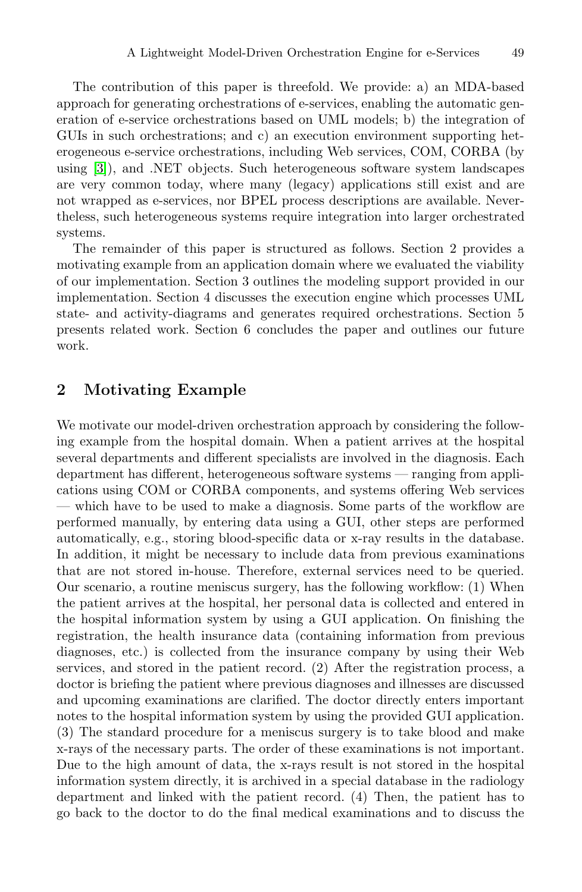The contribution of this paper is threefold. We provide: a) an MDA-based approach for generating orchestrations of e-services, enabling the automatic generation of e-service orchestrations based on UML models; b) the integration of GUIs in such orchestrations; and c) an execution environment supporting heterogeneous e-service orchestrations, including Web services, COM, CORBA (by using [3]), and .NET objects. Such heterogeneous software system landscapes are very common today, where many (legacy) applications still exist and are not wrapped as e-services, nor BPEL process descriptions are available. Nevertheless, such heterogeneous systems require integration into larger orchestrated systems.

The remainder of this paper is structured as follows. Section 2 provides a motivating example from an application domain where we evaluated the viability of our implementation. Section 3 outlines the modeling support provided in our implementation. Section 4 discusses the execution engine which processes UML state- and activity-diagrams and generates required orchestrations. Section 5 presents related work. Section 6 concludes the paper and outlines our future work.

## **2 Motivating Example**

We motivate our model-driven orchestration approach by considering the following example from the hospital domain. When a patient arrives at the hospital several departments and different specialists are involved in the diagnosis. Each department has different, heterogeneous software systems — ranging from applications using COM or CORBA components, and systems offering Web services — which have to be used to make a diagnosis. Some parts of the workflow are performed manually, by entering data using a GUI, other steps are performed automatically, e.g., storing blood-specific data or x-ray results in the database. In addition, it might be necessary to include data from previous examinations that are not stored in-house. Therefore, external services need to be queried. Our scenario, a routine meniscus surgery, has the following workflow: (1) When the patient arrives at the hospital, her personal data is collected and entered in the hospital information system by using a GUI application. On finishing the registration, the health insurance data (containing information from previous diagnoses, etc.) is collected from the insurance company by using their Web services, and stored in the patient record. (2) After the registration process, a doctor is briefing the patient where previous diagnoses and illnesses are discussed and upcoming examinations are clarified. The doctor directly enters important notes to the hospital information system by using the provided GUI application. (3) The standard procedure for a meniscus surgery is to take blood and make x-rays of the necessary parts. The order of these examinations is not important. Due to the high amount of data, the x-rays result is not stored in the hospital information system directly, it is archived in a special database in the radiology department and linked with the patient record. (4) Then, the patient has to go back to the doctor to do the final medical examinations and to discuss the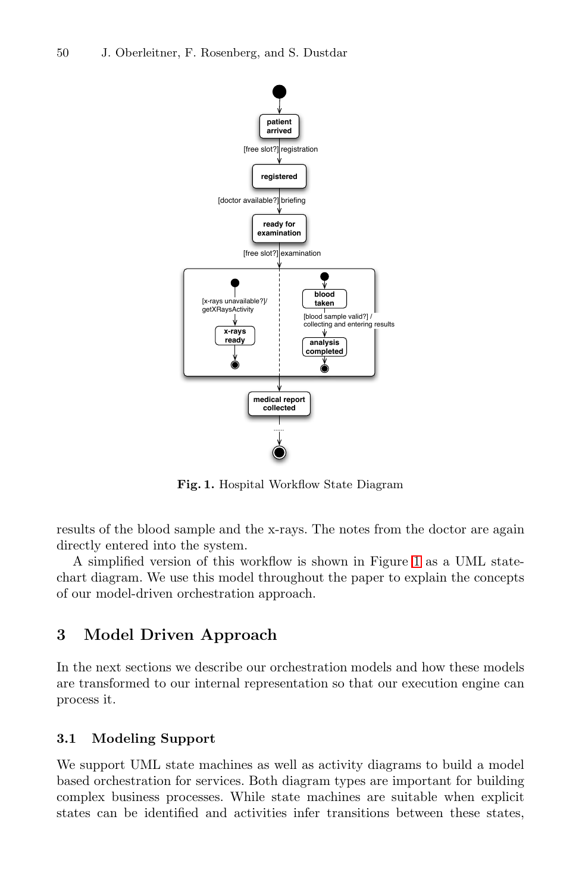#### 50 J. Oberleitner, F. Rosenberg, and S. Dustdar



**Fig. 1.** Hospital Workflow State Diagram

<span id="page-2-0"></span>results of the blood sample and the x-rays. The notes from the doctor are again directly entered into the system.

A simplified version of this workflow is shown in Figure 1 as a UML statechart diagram. We use this model throughout the paper to explain the concepts of our model-driven orchestration approach.

# **3 Model Driven Approach**

In the next sections we describe our orchestration models and how these models are transformed to our internal representation so that our execution engine can process it.

## **3.1 Modeling Support**

We support UML state machines as well as activity diagrams to build a model based orchestration for services. Both diagram types are important for building complex business processes. While state machines are suitable when explicit states can be identified and activities infer transitions between these states,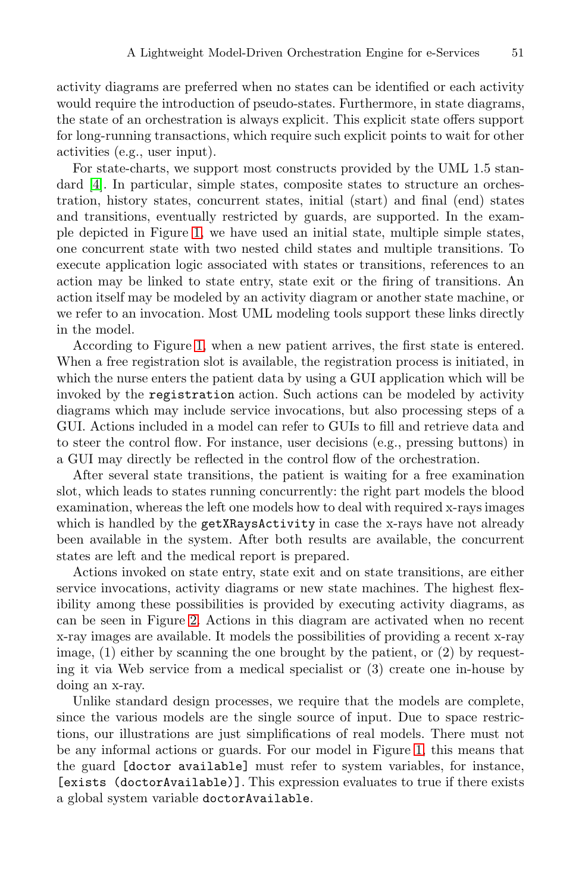activity diagrams are preferred when no states can be identified or each activity would require the introduction of pseudo-states. Furthermore, in state diagrams, the [st](#page-2-0)ate of an orchestration is always explicit. This explicit state offers support for long-running transactions, which require such explicit points to wait for other activities (e.g., user input).

For state-charts, we support most constructs provided by the UML 1.5 standard [4]. In particular, simple states, composite states to structure an orchestration, history states, concurrent states, initial (start) and final (end) states and transitions, eventually restricted by guards, are supported. In the example [dep](#page-2-0)icted in Figure 1, we have used an initial state, multiple simple states, one concurrent state with two nested child states and multiple transitions. To execute application logic associated with states or transitions, references to an action may be linked to state entry, state exit or the firing of transitions. An action itself may be modeled by an activity diagram or another state machine, or we refer to an invocation. Most UML modeling tools support these links directly in the model.

According to Figure 1, when a new patient arrives, the first state is entered. When a free registration slot is available, the registration process is initiated, in which the nurse enters the patient data by using a GUI application which will be invoked by the registration action. Such actions can be modeled by activity diagrams which may include service invocations, but also processing steps of a GUI. Actions included in a model can refer to GUIs to fill and retrieve data and to steer the control flow. For instance, user decisions (e.g., pressing buttons) in a GUI may directly be reflected in the control flow of the orchestration.

After several state transitions, the patient is waiting for a free examination slot, which leads to states running concurrently: the right part models the blood exa[m](#page-4-0)ination, whereas the left one models how to deal with required x-rays images which is handled by the getXRaysActivity in case the x-rays have not already been available in the system. After both results are available, the concurrent states are left and the medical report is prepared.

Actions invoked on state entry, state exit and on state transitions, are either service invocations, activity diagrams or new state machines. The highest flexibility among these possibilities is provided by executing activity diagrams, as can be seen in Figure 2. Actions in this diagram are activated when no recent x-ray images are available. It models the [po](#page-2-0)ssibilities of providing a recent x-ray image,  $(1)$  either by scanning the one brought by the patient, or  $(2)$  by requesting it via Web service from a medical specialist or (3) create one in-house by doing an x-ray.

Unlike standard design processes, we require that the models are complete, since the various models are the single source of input. Due to space restrictions, our illustrations are just simplifications of real models. There must not be any informal actions or guards. For our model in Figure 1, this means that the guard [doctor available] must refer to system variables, for instance, [exists (doctorAvailable)]. This expression evaluates to true if there exists a global system variable doctorAvailable.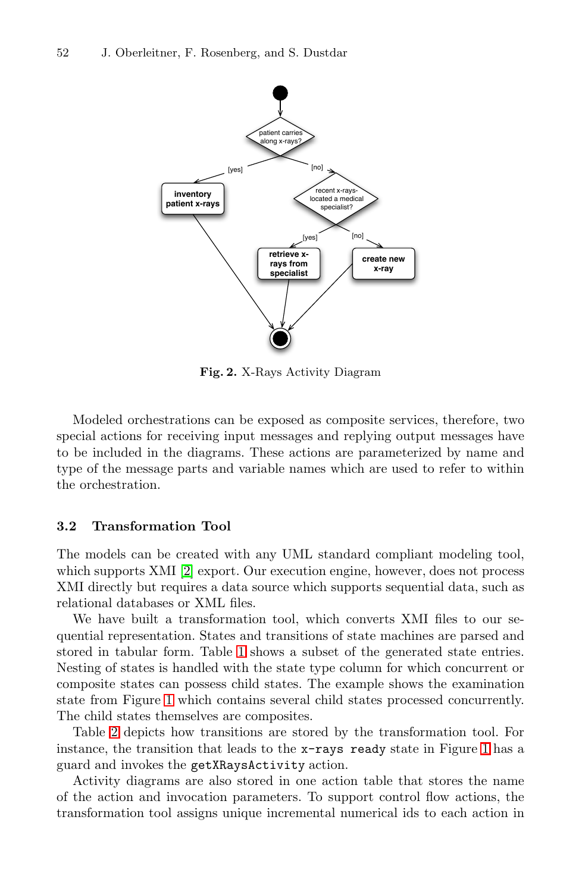#### 52 J. Oberleitner, F. Rosenberg, and S. Dustdar



**Fig. 2.** X-Rays Activity Diagram

<span id="page-4-0"></span>Modeled orchestrations can be exposed as composite services, therefore, two special actions for receiving input messages and replying output messages have to [b](#page-9-1)e included in the diagrams. These actions are parameterized by name and type of the message parts and variable names which are used to refer to within the orchestration.

#### **3.2 Tran[sfo](#page-5-0)rmation Tool**

The models can be created with any UML standard compliant modeling tool, which supports XMI [2] export. Our execution engine, however, does not process [X](#page-2-0)MI directly but requires a data source which supports sequential data, such as relational databases or XML files.

We have built a transformation tool, which converts XMI files to our sequential representation. States and transitions of sta[te](#page-2-0) machines are parsed and stored in tabular form. Table 1 shows a subset of the generated state entries. Nesting of states is handled with the state type column for which concurrent or composite states can possess child states. The example shows the examination state from Figure 1 which contains several child states processed concurrently. The child states themselves are composites.

Table 2 depicts how transitions are stored by the transformation tool. For instance, the transition that leads to the x-rays ready state in Figure 1 has a guard and invokes the getXRaysActivity action.

Activity diagrams are also stored in one action table that stores the name of the action and invocation parameters. To support control flow actions, the transformation tool assigns unique incremental numerical ids to each action in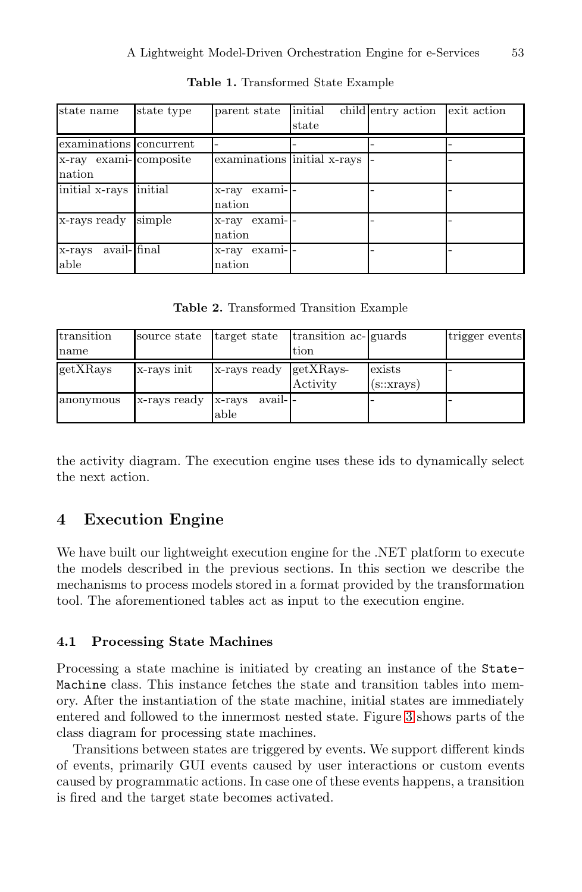<span id="page-5-0"></span>

| state name              | state type      | parent state       | initial                     | child entry action | exit action |
|-------------------------|-----------------|--------------------|-----------------------------|--------------------|-------------|
|                         |                 |                    | state                       |                    |             |
| examinations concurrent |                 |                    |                             |                    |             |
| x-ray                   | exami-composite |                    | examinations initial x-rays |                    |             |
| nation                  |                 |                    |                             |                    |             |
| initial x-rays          | initial         | exami--<br>x-ray   |                             |                    |             |
|                         |                 | nation             |                             |                    |             |
| x-rays ready            | simple          | $exami$ -<br>x-ray |                             |                    |             |
|                         |                 | nation             |                             |                    |             |
| avail-final<br>x-rays   |                 | exami--<br>x-ray   |                             |                    |             |
| able                    |                 | nation             |                             |                    |             |

**Table 1.** Transformed State Example

**Table 2.** Transformed Transition Example

| transition | source state | target state       | transition ac-guards |            | trigger events |
|------------|--------------|--------------------|----------------------|------------|----------------|
| name       |              |                    | tion                 |            |                |
| getXR      | x-rays init  | x-rays ready       | getXR                | exists     |                |
|            |              |                    | Activity             | (s::xrays) |                |
| anonymous  | x-rays ready | avail-l-<br>x-rays |                      |            |                |
|            |              | able               |                      |            |                |

the activity diagram. The execution engine uses these ids to dynamically select the next action.

## **4 Execution Engine**

We have built our lightweight execution engine for the .NET platform to execute the models described in the previous sections. In this section we describe the mechanisms to process models stored in a format provided by the transformation tool. The aforementioned tables act as i[np](#page-6-0)ut to the execution engine.

#### **4.1 Processing State Machines**

Processing a state machine is initiated by creating an instance of the State-Machine class. This instance fetches the state and transition tables into memory. After the instantiation of the state machine, initial states are immediately entered and followed to the innermost nested state. Figure 3 shows parts of the class diagram for processing state machines.

Transitions between states are triggered by events. We support different kinds of events, primarily GUI events caused by user interactions or custom events caused by programmatic actions. In case one of these events happens, a transition is fired and the target state becomes activated.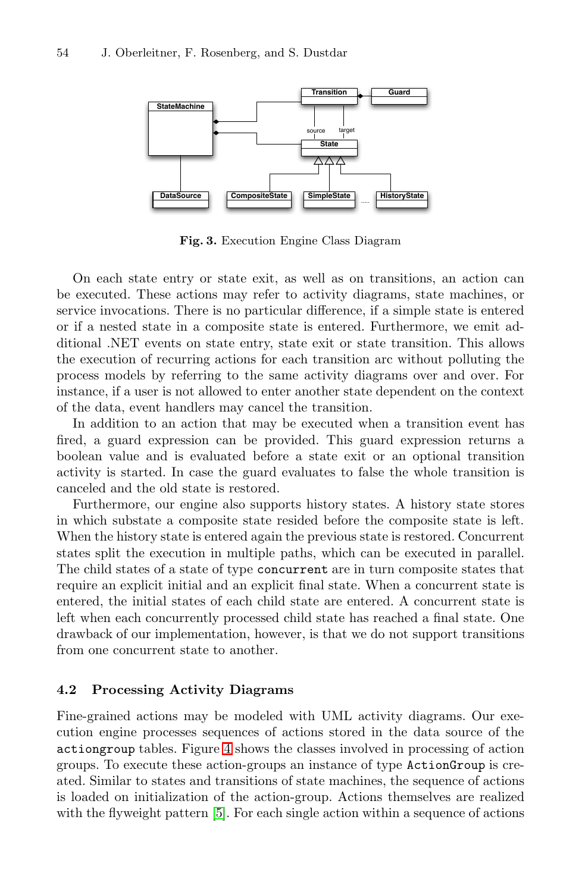#### <span id="page-6-0"></span>54 J. Oberleitner, F. Rosenberg, and S. Dustdar



**Fig. 3.** Execution Engine Class Diagram

On each state entry or state exit, as well as on transitions, an action can be executed. These actions may refer to activity diagrams, state machines, or service invocations. There is no particular difference, if a simple state is entered or if a nested state in a composite state is entered. Furthermore, we emit additional .NET events on state entry, state exit or state transition. This allows the execution of recurring actions for each transition arc without polluting the process models by referring to the same activity diagrams over and over. For instance, if a user is not allowed to enter another state dependent on the context of the data, event handlers may cancel the transition.

In addition to an action that may be executed when a transition event has fired, a guard expression can be provided. This guard expression returns a boolean value and is evaluated before a state exit or an optional transition activity is started. In case the guard evaluates to false the whole transition is canceled and the old state is restored.

Furthermore, our engine also supports history states. A history state stores in which substate a composite state resided before the composite state is left. When the history state is entered again the previous state is restored. Concurrent states split the execution in multiple paths, which can be executed in parallel. The child states of a state of type concurrent are in turn composite states that require an explicit initial and an explicit final state. When a concurrent state is entered, the initial states of each child state are entered. A concurrent state is left when each concurrently processed child state has reached a final state. One drawbac[k o](#page-7-0)f our implementation, however, is that we do not support transitions from one concurrent state to another.

## **4.2 P[ro](#page-9-2)cessing Activity Diagrams**

Fine-grained actions may be modeled with UML activity diagrams. Our execution engine processes sequences of actions stored in the data source of the actiongroup tables. Figure 4 shows the classes involved in processing of action groups. To execute these action-groups an instance of type ActionGroup is created. Similar to states and transitions of state machines, the sequence of actions is loaded on initialization of the action-group. Actions themselves are realized with the flyweight pattern [5]. For each single action within a sequence of actions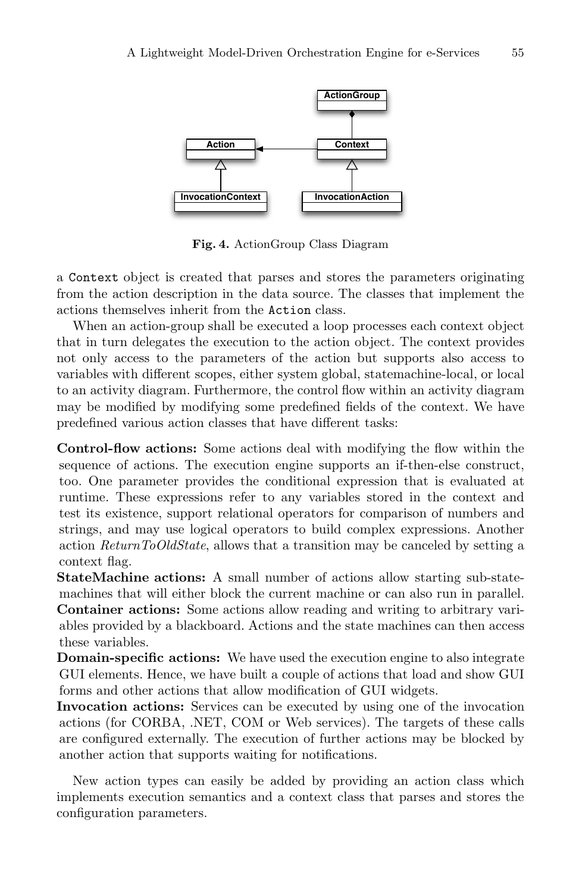

<span id="page-7-0"></span>**Fig. 4.** ActionGroup Class Diagram

a Context object is created that parses and stores the parameters originating from the action description in the data source. The classes that implement the actions themselves inherit from the Action class.

When an action-group shall be executed a loop processes each context object that in turn delegates the execution to the action object. The context provides not only access to the parameters of the action but supports also access to variables with different scopes, either system global, statemachine-local, or local to an activity diagram. Furthermore, the control flow within an activity diagram may be modified by modifying some predefined fields of the context. We have predefined various action classes that have different tasks:

**Control-flow actions:** Some actions deal with modifying the flow within the sequence of actions. The execution engine supports an if-then-else construct, too. One parameter provides the conditional expression that is evaluated at runtime. These expressions refer to any variables stored in the context and test its existence, support relational operators for comparison of numbers and strings, and may use logical operators to build complex expressions. Another action ReturnToOldState, allows that a transition may be canceled by setting a context flag.

**StateMachine actions:** A small number of actions allow starting sub-statemachines that will either block the current machine or can also run in parallel. **Container actions:** Some actions allow reading and writing to arbitrary variables provided by a blackboard. Actions and the state machines can then access these variables.

**Domain-specific actions:** We have used the execution engine to also integrate GUI elements. Hence, we have built a couple of actions that load and show GUI forms and other actions that allow modification of GUI widgets.

**Invocation actions:** Services can be executed by using one of the invocation actions (for CORBA, .NET, COM or Web services). The targets of these calls are configured externally. The execution of further actions may be blocked by another action that supports waiting for notifications.

New action types can easily be added by providing an action class which implements execution semantics and a context class that parses and stores the configuration parameters.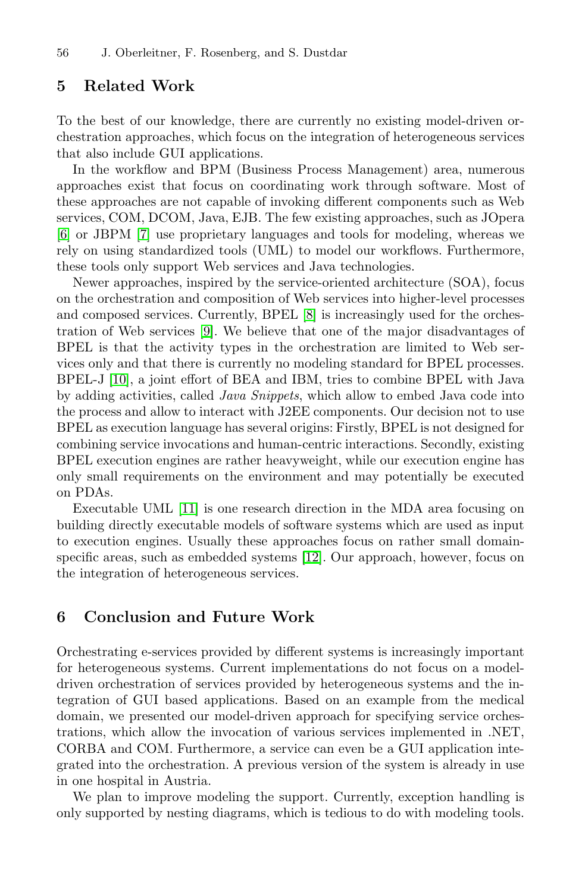# **5 Related Work**

To the best of our knowledge, there are currently no existing model-driven orchestration approaches, which focus on the integration of heterogeneous services that also include GUI applications.

In the workflow and BPM (Business Process Management) area, numerous approaches exist that focus on coordinating work through software. Most of these approaches are n[ot](#page-9-3) capable of invoking different components such as Web servi[ces](#page-9-4), COM, DCOM, Java, EJB. The few existing approaches, such as JOpera [6] or JBPM [7] use proprietary languages and tools for modeling, whereas we rely on using standardized tools (UML) to model our workflows. Furthermore, these tools only support Web services and Java technologies.

Newer approaches, inspired by the service-oriented architecture (SOA), focus on the orchestration and composition of Web services into higher-level processes and composed services. Currently, BPEL [8] is increasingly used for the orchestration of Web services [9]. We believe that one of the major disadvantages of BPEL is that the activity types in the orchestration are limited to Web services only and that there is currently no modeling standard for BPEL processes. BPEL-J [10], a joint effort of BEA and IBM, tries to combine BPEL with Java b[y ad](#page-9-5)ding activities, called Java Snippets, which allow to embed Java code into the process and allow to interact with J2EE components. Our decision not to use BPEL as execution language has several origins: Firstly, BPEL is not designed for combining service invo[cati](#page-9-6)ons and human-centric interactions. Secondly, existing BPEL execution engines are rather heavyweight, while our execution engine has only small requirements on the environment and may potentially be executed on PDAs.

Executable UML [11] is one research direction in the MDA area focusing on building directly executable models of software systems which are used as input to execution engines. Usually these approaches focus on rather small domainspecific areas, such as embedded systems [12]. Our approach, however, focus on the integration of heterogeneous services.

## **6 Conclusion and Future Work**

Orchestrating e-services provided by different systems is increasingly important for heterogeneous systems. Current implementations do not focus on a modeldriven orchestration of services provided by heterogeneous systems and the integration of GUI based applications. Based on an example from the medical domain, we presented our model-driven approach for specifying service orchestrations, which allow the invocation of various services implemented in .NET, CORBA and COM. Furthermore, a service can even be a GUI application integrated into the orchestration. A previous version of the system is already in use in one hospital in Austria.

We plan to improve modeling the support. Currently, exception handling is only supported by nesting diagrams, which is tedious to do with modeling tools.